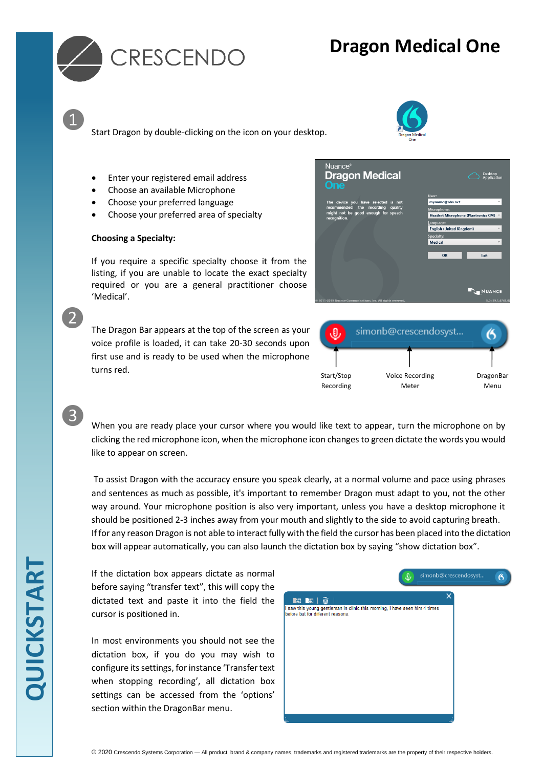



❶

❷

❸

Start Dragon by double-clicking on the icon on your desktop.

- Enter your registered email address
- Choose an available Microphone
- Choose your preferred language
- Choose your preferred area of specialty

#### **Choosing a Specialty:**

If you require a specific specialty choose it from the listing, if you are unable to locate the exact specialty required or you are a general practitioner choose 'Medical'.

The Dragon Bar appears at the top of the screen as your voice profile is loaded, it can take 20-30 seconds upon first use and is ready to be used when the microphone turns red.

| Nuance <sup>®</sup><br><b>Dragon Medical</b><br><b>One</b>                                                                          | Desktop<br>Application                |
|-------------------------------------------------------------------------------------------------------------------------------------|---------------------------------------|
|                                                                                                                                     | User:                                 |
| The device you have selected is not<br>recommended; the recording<br>quality<br>might not be good enough for speech<br>recognition. | myname@nhs.net                        |
|                                                                                                                                     | <b>Microphone:</b>                    |
|                                                                                                                                     | Headset Microphone (Plantronics CM) v |
|                                                                                                                                     | Language:<br>$\checkmark$             |
|                                                                                                                                     | <b>English (United Kingdom)</b>       |
|                                                                                                                                     | Specialty:<br><b>Medical</b>          |
|                                                                                                                                     |                                       |
|                                                                                                                                     | Exit<br>OK                            |
|                                                                                                                                     | <b>NUANCE</b>                         |
| @ 2011-2019 Nuance Communications, Inc. All rights reserved.                                                                        | 5.0 (19.1.4741.0)                     |
|                                                                                                                                     |                                       |



When you are ready place your cursor where you would like text to appear, turn the microphone on by clicking the red microphone icon, when the microphone icon changes to green dictate the words you would like to appear on screen.

To assist Dragon with the accuracy ensure you speak clearly, at a normal volume and pace using phrases and sentences as much as possible, it's important to remember Dragon must adapt to you, not the other way around. Your microphone position is also very important, unless you have a desktop microphone it should be positioned 2-3 inches away from your mouth and slightly to the side to avoid capturing breath. If for any reason Dragon is not able to interact fully with the field the cursor has been placed into the dictation box will appear automatically, you can also launch the dictation box by saying "show dictation box".

If the dictation box appears dictate as normal before saying "transfer text", this will copy the dictated text and paste it into the field the cursor is positioned in.

In most environments you should not see the dictation box, if you do you may wish to configure its settings, for instance 'Transfer text when stopping recording', all dictation box settings can be accessed from the 'options' section within the DragonBar menu.